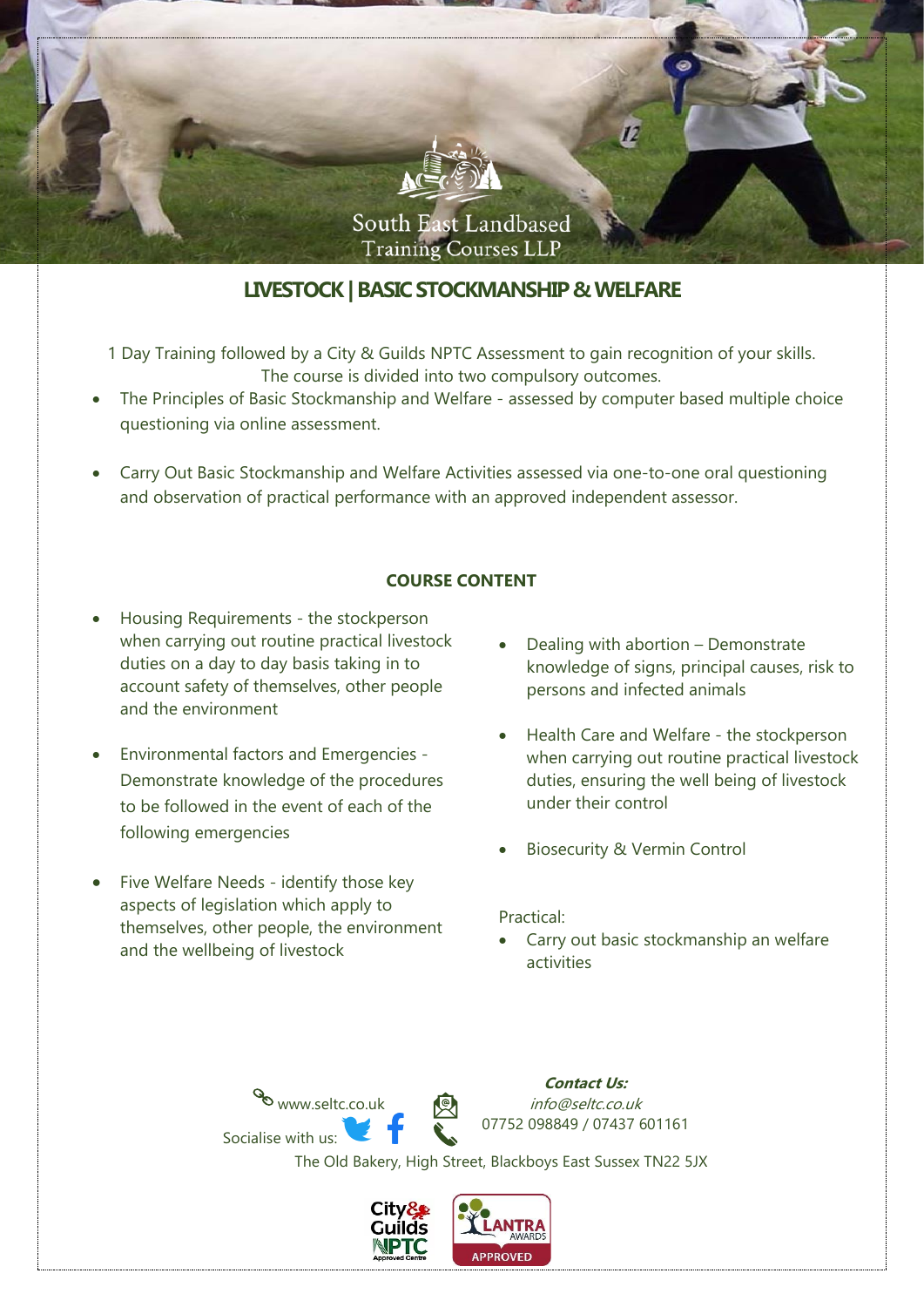

# **LIVESTOCK| BASIC STOCKMANSHIP & WELFARE**

- 1 Day Training followed by a City & Guilds NPTC Assessment to gain recognition of your skills. The course is divided into two compulsory outcomes.
- The Principles of Basic Stockmanship and Welfare assessed by computer based multiple choice questioning via online assessment.
- Carry Out Basic Stockmanship and Welfare Activities assessed via one-to-one oral questioning and observation of practical performance with an approved independent assessor.

### **COURSE CONTENT**

- Housing Requirements the stockperson when carrying out routine practical livestock duties on a day to day basis taking in to account safety of themselves, other people and the environment
- Environmental factors and Emergencies Demonstrate knowledge of the procedures to be followed in the event of each of the following emergencies
- Five Welfare Needs identify those key aspects of legislation which apply to themselves, other people, the environment and the wellbeing of livestock

www.seltc.co.uk

Socialise with us:

- Dealing with abortion Demonstrate knowledge of signs, principal causes, risk to persons and infected animals
- Health Care and Welfare the stockperson when carrying out routine practical livestock duties, ensuring the well being of livestock under their control
- Biosecurity & Vermin Control

**Contact Us:** info@seltc.co.uk

07752 098849 / 07437 601161

#### Practical:

• Carry out basic stockmanship an welfare activities



The Old Bakery, High Street, Blackboys East Sussex TN22 5JX